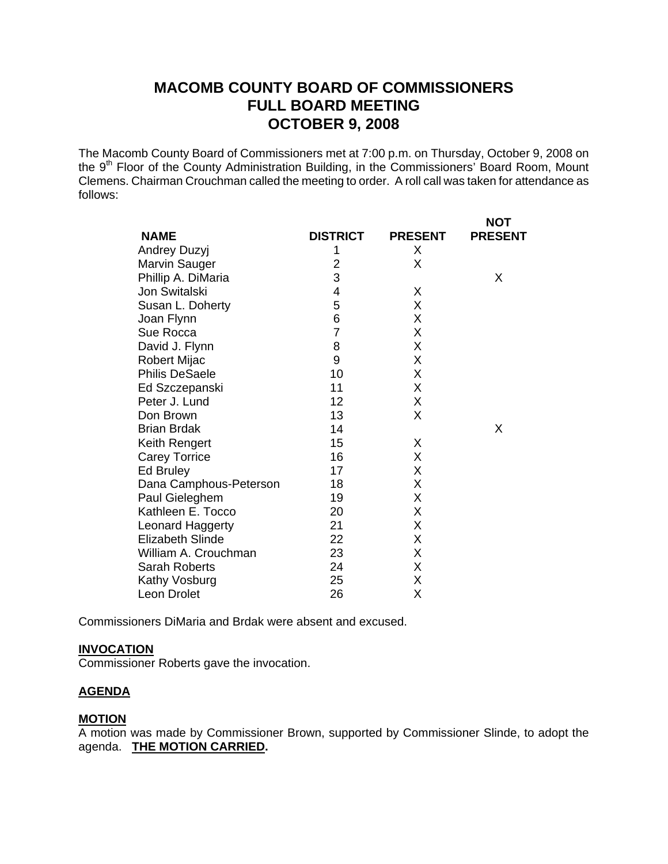# **MACOMB COUNTY BOARD OF COMMISSIONERS FULL BOARD MEETING OCTOBER 9, 2008**

The Macomb County Board of Commissioners met at 7:00 p.m. on Thursday, October 9, 2008 on the 9<sup>th</sup> Floor of the County Administration Building, in the Commissioners' Board Room, Mount Clemens. Chairman Crouchman called the meeting to order. A roll call was taken for attendance as follows:

| <b>NAME</b>             | <b>DISTRICT</b> | <b>PRESENT</b> | <b>NOT</b><br><b>PRESENT</b> |
|-------------------------|-----------------|----------------|------------------------------|
| Andrey Duzyj            | 1               | X              |                              |
| Marvin Sauger           | 2               | X              |                              |
| Phillip A. DiMaria      | 3               |                | X                            |
| Jon Switalski           | 4               | X              |                              |
| Susan L. Doherty        | 5               | X              |                              |
| Joan Flynn              | 6               | X              |                              |
| Sue Rocca               | $\overline{7}$  | Χ              |                              |
| David J. Flynn          | 8               | X              |                              |
| Robert Mijac            | 9               | X              |                              |
| <b>Philis DeSaele</b>   | 10              | X              |                              |
| Ed Szczepanski          | 11              | Χ              |                              |
| Peter J. Lund           | 12              | X              |                              |
| Don Brown               | 13              | X              |                              |
| <b>Brian Brdak</b>      | 14              |                | X                            |
| Keith Rengert           | 15              | X              |                              |
| <b>Carey Torrice</b>    | 16              | Χ              |                              |
| Ed Bruley               | 17              | Χ              |                              |
| Dana Camphous-Peterson  | 18              | Χ              |                              |
| Paul Gieleghem          | 19              | X              |                              |
| Kathleen E. Tocco       | 20              | Χ              |                              |
| Leonard Haggerty        | 21              | Χ              |                              |
| <b>Elizabeth Slinde</b> | 22              | X              |                              |
| William A. Crouchman    | 23              | Χ              |                              |
| <b>Sarah Roberts</b>    | 24              | Χ              |                              |
| Kathy Vosburg           | 25              | Χ              |                              |
| Leon Drolet             | 26              | Χ              |                              |

Commissioners DiMaria and Brdak were absent and excused.

#### **INVOCATION**

Commissioner Roberts gave the invocation.

### **AGENDA**

#### **MOTION**

A motion was made by Commissioner Brown, supported by Commissioner Slinde, to adopt the agenda. **THE MOTION CARRIED.**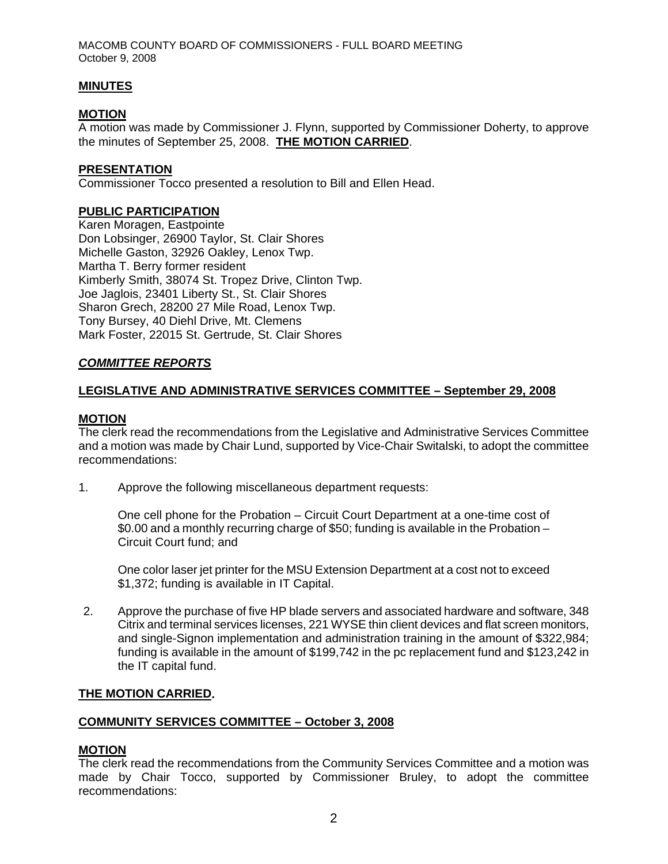MACOMB COUNTY BOARD OF COMMISSIONERS - FULL BOARD MEETING October 9, 2008

### **MINUTES**

### **MOTION**

A motion was made by Commissioner J. Flynn, supported by Commissioner Doherty, to approve the minutes of September 25, 2008. **THE MOTION CARRIED**.

#### **PRESENTATION**

Commissioner Tocco presented a resolution to Bill and Ellen Head.

### **PUBLIC PARTICIPATION**

Karen Moragen, Eastpointe Don Lobsinger, 26900 Taylor, St. Clair Shores Michelle Gaston, 32926 Oakley, Lenox Twp. Martha T. Berry former resident Kimberly Smith, 38074 St. Tropez Drive, Clinton Twp. Joe Jaglois, 23401 Liberty St., St. Clair Shores Sharon Grech, 28200 27 Mile Road, Lenox Twp. Tony Bursey, 40 Diehl Drive, Mt. Clemens Mark Foster, 22015 St. Gertrude, St. Clair Shores

### *COMMITTEE REPORTS*

### **LEGISLATIVE AND ADMINISTRATIVE SERVICES COMMITTEE – September 29, 2008**

#### **MOTION**

The clerk read the recommendations from the Legislative and Administrative Services Committee and a motion was made by Chair Lund, supported by Vice-Chair Switalski, to adopt the committee recommendations:

1. Approve the following miscellaneous department requests:

One cell phone for the Probation – Circuit Court Department at a one-time cost of \$0.00 and a monthly recurring charge of \$50; funding is available in the Probation – Circuit Court fund; and

One color laser jet printer for the MSU Extension Department at a cost not to exceed \$1,372; funding is available in IT Capital.

2. Approve the purchase of five HP blade servers and associated hardware and software, 348 Citrix and terminal services licenses, 221 WYSE thin client devices and flat screen monitors, and single-Signon implementation and administration training in the amount of \$322,984; funding is available in the amount of \$199,742 in the pc replacement fund and \$123,242 in the IT capital fund.

#### **THE MOTION CARRIED.**

#### **COMMUNITY SERVICES COMMITTEE – October 3, 2008**

#### **MOTION**

The clerk read the recommendations from the Community Services Committee and a motion was made by Chair Tocco, supported by Commissioner Bruley, to adopt the committee recommendations: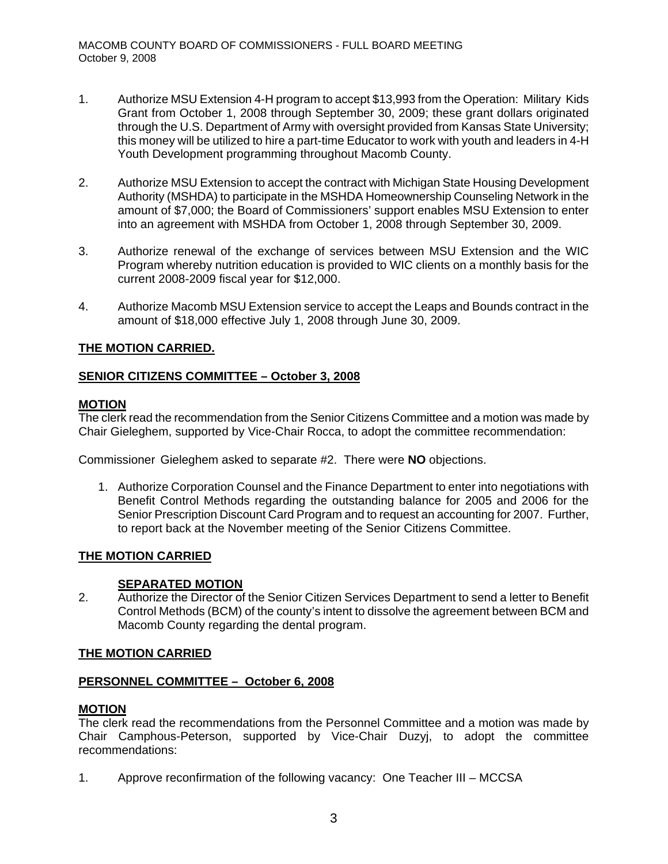- 1. Authorize MSU Extension 4-H program to accept \$13,993 from the Operation: Military Kids Grant from October 1, 2008 through September 30, 2009; these grant dollars originated through the U.S. Department of Army with oversight provided from Kansas State University; this money will be utilized to hire a part-time Educator to work with youth and leaders in 4-H Youth Development programming throughout Macomb County.
- 2. Authorize MSU Extension to accept the contract with Michigan State Housing Development Authority (MSHDA) to participate in the MSHDA Homeownership Counseling Network in the amount of \$7,000; the Board of Commissioners' support enables MSU Extension to enter into an agreement with MSHDA from October 1, 2008 through September 30, 2009.
- 3. Authorize renewal of the exchange of services between MSU Extension and the WIC Program whereby nutrition education is provided to WIC clients on a monthly basis for the current 2008-2009 fiscal year for \$12,000.
- 4. Authorize Macomb MSU Extension service to accept the Leaps and Bounds contract in the amount of \$18,000 effective July 1, 2008 through June 30, 2009.

# **THE MOTION CARRIED.**

### **SENIOR CITIZENS COMMITTEE – October 3, 2008**

### **MOTION**

The clerk read the recommendation from the Senior Citizens Committee and a motion was made by Chair Gieleghem, supported by Vice-Chair Rocca, to adopt the committee recommendation:

Commissioner Gieleghem asked to separate #2. There were **NO** objections.

1. Authorize Corporation Counsel and the Finance Department to enter into negotiations with Benefit Control Methods regarding the outstanding balance for 2005 and 2006 for the Senior Prescription Discount Card Program and to request an accounting for 2007. Further, to report back at the November meeting of the Senior Citizens Committee.

#### **THE MOTION CARRIED**

#### **SEPARATED MOTION**

2. Authorize the Director of the Senior Citizen Services Department to send a letter to Benefit Control Methods (BCM) of the county's intent to dissolve the agreement between BCM and Macomb County regarding the dental program.

### **THE MOTION CARRIED**

#### **PERSONNEL COMMITTEE – October 6, 2008**

# **MOTION**

The clerk read the recommendations from the Personnel Committee and a motion was made by Chair Camphous-Peterson, supported by Vice-Chair Duzyj, to adopt the committee recommendations:

1. Approve reconfirmation of the following vacancy: One Teacher III – MCCSA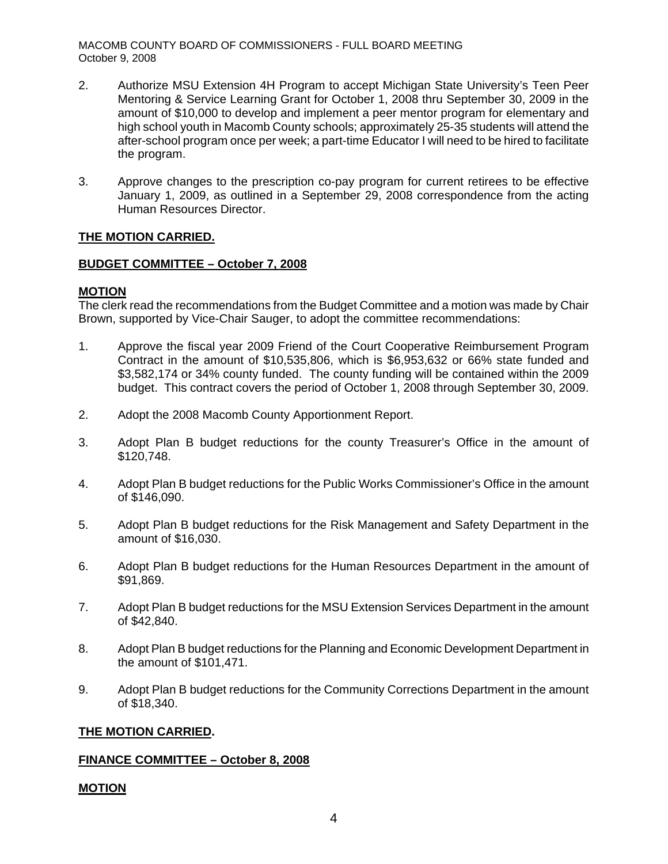MACOMB COUNTY BOARD OF COMMISSIONERS - FULL BOARD MEETING October 9, 2008

- 2. Authorize MSU Extension 4H Program to accept Michigan State University's Teen Peer Mentoring & Service Learning Grant for October 1, 2008 thru September 30, 2009 in the amount of \$10,000 to develop and implement a peer mentor program for elementary and high school youth in Macomb County schools; approximately 25-35 students will attend the after-school program once per week; a part-time Educator I will need to be hired to facilitate the program.
- 3. Approve changes to the prescription co-pay program for current retirees to be effective January 1, 2009, as outlined in a September 29, 2008 correspondence from the acting Human Resources Director.

### **THE MOTION CARRIED.**

### **BUDGET COMMITTEE – October 7, 2008**

### **MOTION**

The clerk read the recommendations from the Budget Committee and a motion was made by Chair Brown, supported by Vice-Chair Sauger, to adopt the committee recommendations:

- 1. Approve the fiscal year 2009 Friend of the Court Cooperative Reimbursement Program Contract in the amount of \$10,535,806, which is \$6,953,632 or 66% state funded and \$3,582,174 or 34% county funded. The county funding will be contained within the 2009 budget. This contract covers the period of October 1, 2008 through September 30, 2009.
- 2. Adopt the 2008 Macomb County Apportionment Report.
- 3. Adopt Plan B budget reductions for the county Treasurer's Office in the amount of \$120,748.
- 4. Adopt Plan B budget reductions for the Public Works Commissioner's Office in the amount of \$146,090.
- 5. Adopt Plan B budget reductions for the Risk Management and Safety Department in the amount of \$16,030.
- 6. Adopt Plan B budget reductions for the Human Resources Department in the amount of \$91,869.
- 7. Adopt Plan B budget reductions for the MSU Extension Services Department in the amount of \$42,840.
- 8. Adopt Plan B budget reductions for the Planning and Economic Development Department in the amount of \$101,471.
- 9. Adopt Plan B budget reductions for the Community Corrections Department in the amount of \$18,340.

#### **THE MOTION CARRIED.**

### **FINANCE COMMITTEE – October 8, 2008**

#### **MOTION**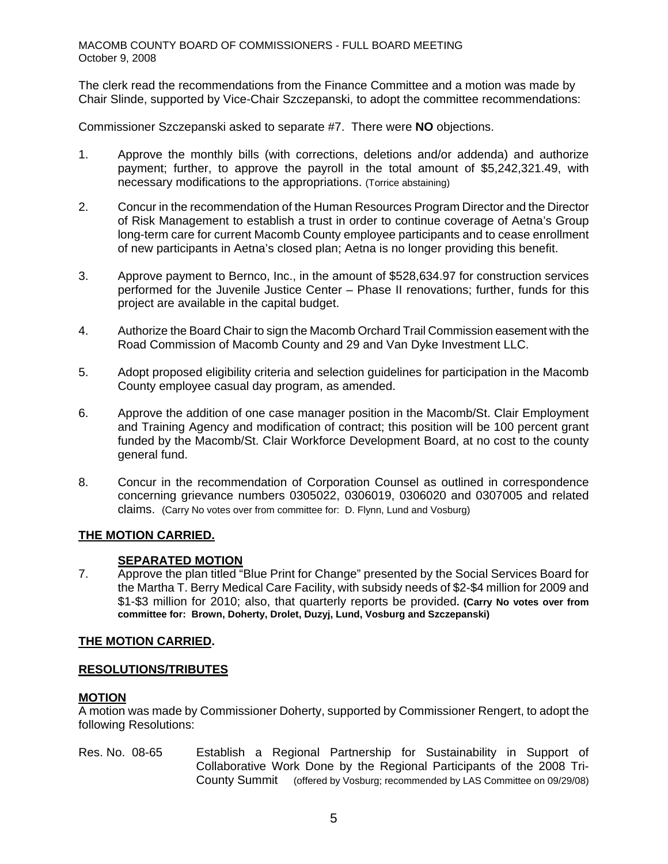The clerk read the recommendations from the Finance Committee and a motion was made by Chair Slinde, supported by Vice-Chair Szczepanski, to adopt the committee recommendations:

Commissioner Szczepanski asked to separate #7. There were **NO** objections.

- 1. Approve the monthly bills (with corrections, deletions and/or addenda) and authorize payment; further, to approve the payroll in the total amount of \$5,242,321.49, with necessary modifications to the appropriations. (Torrice abstaining)
- 2. Concur in the recommendation of the Human Resources Program Director and the Director of Risk Management to establish a trust in order to continue coverage of Aetna's Group long-term care for current Macomb County employee participants and to cease enrollment of new participants in Aetna's closed plan; Aetna is no longer providing this benefit.
- 3. Approve payment to Bernco, Inc., in the amount of \$528,634.97 for construction services performed for the Juvenile Justice Center – Phase II renovations; further, funds for this project are available in the capital budget.
- 4. Authorize the Board Chair to sign the Macomb Orchard Trail Commission easement with the Road Commission of Macomb County and 29 and Van Dyke Investment LLC.
- 5. Adopt proposed eligibility criteria and selection guidelines for participation in the Macomb County employee casual day program, as amended.
- 6. Approve the addition of one case manager position in the Macomb/St. Clair Employment and Training Agency and modification of contract; this position will be 100 percent grant funded by the Macomb/St. Clair Workforce Development Board, at no cost to the county general fund.
- 8. Concur in the recommendation of Corporation Counsel as outlined in correspondence concerning grievance numbers 0305022, 0306019, 0306020 and 0307005 and related claims.(Carry No votes over from committee for: D. Flynn, Lund and Vosburg)

# **THE MOTION CARRIED.**

# **SEPARATED MOTION**

7. Approve the plan titled "Blue Print for Change" presented by the Social Services Board for the Martha T. Berry Medical Care Facility, with subsidy needs of \$2-\$4 million for 2009 and \$1-\$3 million for 2010; also, that quarterly reports be provided**. (Carry No votes over from committee for: Brown, Doherty, Drolet, Duzyj, Lund, Vosburg and Szczepanski)** 

### **THE MOTION CARRIED.**

### **RESOLUTIONS/TRIBUTES**

### **MOTION**

A motion was made by Commissioner Doherty, supported by Commissioner Rengert, to adopt the following Resolutions:

Res. No. 08-65 Establish a Regional Partnership for Sustainability in Support of Collaborative Work Done by the Regional Participants of the 2008 Tri-County Summit (offered by Vosburg; recommended by LAS Committee on 09/29/08)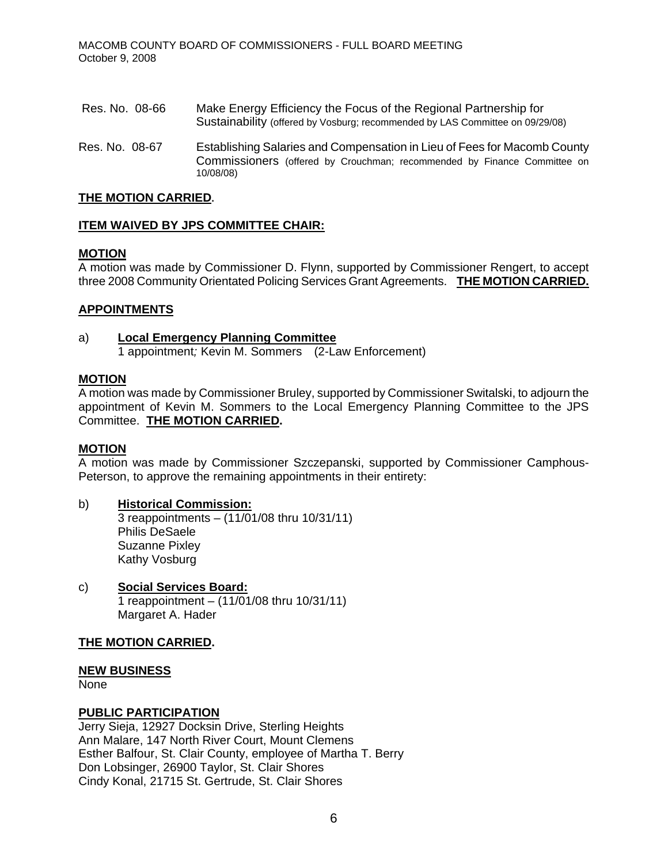- Res. No. 08-66 Make Energy Efficiency the Focus of the Regional Partnership for Sustainability (offered by Vosburg; recommended by LAS Committee on 09/29/08)
- Res. No. 08-67 Establishing Salaries and Compensation in Lieu of Fees for Macomb County Commissioners (offered by Crouchman; recommended by Finance Committee on 10/08/08)

### **THE MOTION CARRIED.**

### **ITEM WAIVED BY JPS COMMITTEE CHAIR:**

### **MOTION**

A motion was made by Commissioner D. Flynn, supported by Commissioner Rengert, to accept three 2008 Community Orientated Policing Services Grant Agreements. **THE MOTION CARRIED.** 

### **APPOINTMENTS**

### a) **Local Emergency Planning Committee**

1 appointment*;* Kevin M. Sommers (2-Law Enforcement)

### **MOTION**

A motion was made by Commissioner Bruley, supported by Commissioner Switalski, to adjourn the appointment of Kevin M. Sommers to the Local Emergency Planning Committee to the JPS Committee. **THE MOTION CARRIED.** 

#### **MOTION**

A motion was made by Commissioner Szczepanski, supported by Commissioner Camphous-Peterson, to approve the remaining appointments in their entirety:

#### b) **Historical Commission:**  $3$  reappointments –  $(11/01/08)$  thru 10/31/11) Philis DeSaele Suzanne Pixley Kathy Vosburg

c) **Social Services Board:** 1 reappointment – (11/01/08 thru 10/31/11) Margaret A. Hader

### **THE MOTION CARRIED.**

### **NEW BUSINESS**

None

### **PUBLIC PARTICIPATION**

Jerry Sieja, 12927 Docksin Drive, Sterling Heights Ann Malare, 147 North River Court, Mount Clemens Esther Balfour, St. Clair County, employee of Martha T. Berry Don Lobsinger, 26900 Taylor, St. Clair Shores Cindy Konal, 21715 St. Gertrude, St. Clair Shores